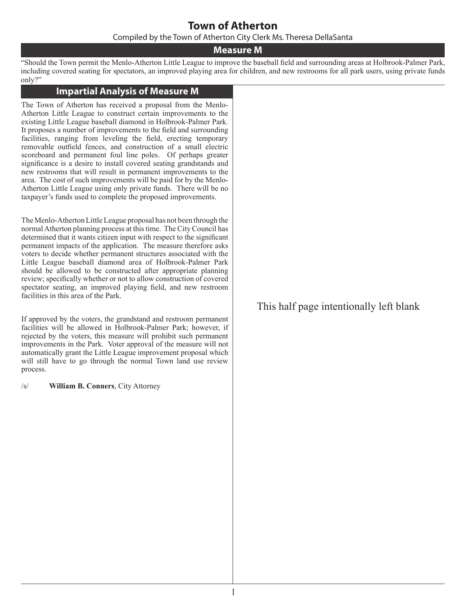### **Town of Atherton**

Compiled by the Town of Atherton City Clerk Ms. Theresa DellaSanta

### **Measure M**

"Should the Town permit the Menlo-Atherton Little League to improve the baseball field and surrounding areas at Holbrook-Palmer Park, including covered seating for spectators, an improved playing area for children, and new restrooms for all park users, using private funds only?"

#### **Impartial Analysis of Measure M**

The Town of Atherton has received a proposal from the Menlo-Atherton Little League to construct certain improvements to the existing Little League baseball diamond in Holbrook-Palmer Park. It proposes a number of improvements to the field and surrounding facilities, ranging from leveling the field, erecting temporary removable outfield fences, and construction of a small electric scoreboard and permanent foul line poles. Of perhaps greater significance is a desire to install covered seating grandstands and new restrooms that will result in permanent improvements to the area. The cost of such improvements will be paid for by the Menlo-Atherton Little League using only private funds. There will be no taxpayer's funds used to complete the proposed improvements.

The Menlo-Atherton Little League proposal has not been through the normal Atherton planning process at this time. The City Council has determined that it wants citizen input with respect to the significant permanent impacts of the application. The measure therefore asks voters to decide whether permanent structures associated with the Little League baseball diamond area of Holbrook-Palmer Park should be allowed to be constructed after appropriate planning review; specifically whether or not to allow construction of covered spectator seating, an improved playing field, and new restroom facilities in this area of the Park.

If approved by the voters, the grandstand and restroom permanent facilities will be allowed in Holbrook-Palmer Park; however, if rejected by the voters, this measure will prohibit such permanent improvements in the Park. Voter approval of the measure will not automatically grant the Little League improvement proposal which will still have to go through the normal Town land use review process.

/s/ **William B. Conners**, City Attorney

This half page intentionally left blank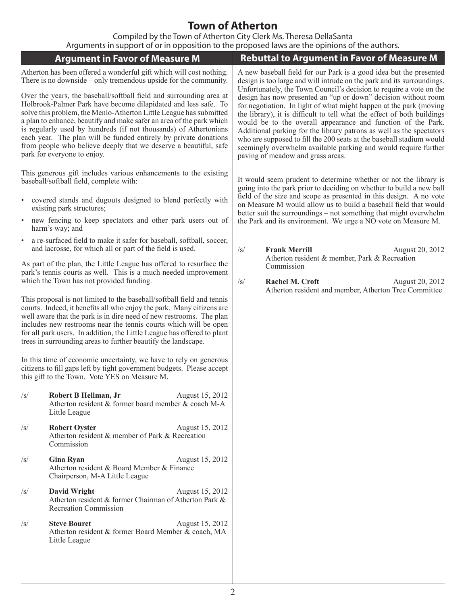# **Town of Atherton**

Compiled by the Town of Atherton City Clerk Ms. Theresa DellaSanta

| Arguments in support of or in opposition to the proposed laws are the opinions of the authors.                                                                                                                                                                                                                                                                                                                                                                                                                                 |                                                                                                                                                                                                                                                                                                                                                                                                                                                                                                                                         |  |  |  |  |  |
|--------------------------------------------------------------------------------------------------------------------------------------------------------------------------------------------------------------------------------------------------------------------------------------------------------------------------------------------------------------------------------------------------------------------------------------------------------------------------------------------------------------------------------|-----------------------------------------------------------------------------------------------------------------------------------------------------------------------------------------------------------------------------------------------------------------------------------------------------------------------------------------------------------------------------------------------------------------------------------------------------------------------------------------------------------------------------------------|--|--|--|--|--|
| <b>Argument in Favor of Measure M</b>                                                                                                                                                                                                                                                                                                                                                                                                                                                                                          | <b>Rebuttal to Argument in Favor of Measure M</b>                                                                                                                                                                                                                                                                                                                                                                                                                                                                                       |  |  |  |  |  |
| Atherton has been offered a wonderful gift which will cost nothing.<br>There is no downside – only tremendous upside for the community.                                                                                                                                                                                                                                                                                                                                                                                        | A new baseball field for our Park is a good idea but the presented<br>design is too large and will intrude on the park and its surroundings.<br>Unfortunately, the Town Council's decision to require a vote on the                                                                                                                                                                                                                                                                                                                     |  |  |  |  |  |
| Over the years, the baseball/softball field and surrounding area at<br>Holbrook-Palmer Park have become dilapidated and less safe. To<br>solve this problem, the Menlo-Atherton Little League has submitted<br>a plan to enhance, beautify and make safer an area of the park which<br>is regularly used by hundreds (if not thousands) of Athertonians<br>each year. The plan will be funded entirely by private donations<br>from people who believe deeply that we deserve a beautiful, safe<br>park for everyone to enjoy. | design has now presented an "up or down" decision without room<br>for negotiation. In light of what might happen at the park (moving<br>the library), it is difficult to tell what the effect of both buildings<br>would be to the overall appearance and function of the Park.<br>Additional parking for the library patrons as well as the spectators<br>who are supposed to fill the 200 seats at the baseball stadium would<br>seemingly overwhelm available parking and would require further<br>paving of meadow and grass areas. |  |  |  |  |  |
| This generous gift includes various enhancements to the existing<br>baseball/softball field, complete with:                                                                                                                                                                                                                                                                                                                                                                                                                    | It would seem prudent to determine whether or not the library is<br>going into the park prior to deciding on whether to build a new ball<br>field of the size and scope as presented in this design. A no vote                                                                                                                                                                                                                                                                                                                          |  |  |  |  |  |
| covered stands and dugouts designed to blend perfectly with<br>existing park structures;                                                                                                                                                                                                                                                                                                                                                                                                                                       | on Measure M would allow us to build a baseball field that would<br>better suit the surroundings – not something that might overwhelm                                                                                                                                                                                                                                                                                                                                                                                                   |  |  |  |  |  |
| new fencing to keep spectators and other park users out of<br>harm's way; and                                                                                                                                                                                                                                                                                                                                                                                                                                                  | the Park and its environment. We urge a NO vote on Measure M.                                                                                                                                                                                                                                                                                                                                                                                                                                                                           |  |  |  |  |  |
| a re-surfaced field to make it safer for baseball, softball, soccer,<br>and lacrosse, for which all or part of the field is used.                                                                                                                                                                                                                                                                                                                                                                                              | $\sqrt{s}$<br><b>Frank Merrill</b><br>August 20, 2012<br>Atherton resident & member, Park & Recreation                                                                                                                                                                                                                                                                                                                                                                                                                                  |  |  |  |  |  |
| As part of the plan, the Little League has offered to resurface the<br>park's tennis courts as well. This is a much needed improvement<br>which the Town has not provided funding.                                                                                                                                                                                                                                                                                                                                             | Commission<br>$\sqrt{s}$<br>Rachel M. Croft<br>August 20, 2012<br>Atherton resident and member, Atherton Tree Committee                                                                                                                                                                                                                                                                                                                                                                                                                 |  |  |  |  |  |
| This proposal is not limited to the baseball/softball field and tennis<br>courts. Indeed, it benefits all who enjoy the park. Many citizens are<br>well aware that the park is in dire need of new restrooms. The plan<br>includes new restrooms near the tennis courts which will be open<br>for all park users. In addition, the Little League has offered to plant<br>trees in surrounding areas to further beautify the landscape.                                                                                         |                                                                                                                                                                                                                                                                                                                                                                                                                                                                                                                                         |  |  |  |  |  |
| In this time of economic uncertainty, we have to rely on generous<br>citizens to fill gaps left by tight government budgets. Please accept<br>this gift to the Town. Vote YES on Measure M.                                                                                                                                                                                                                                                                                                                                    |                                                                                                                                                                                                                                                                                                                                                                                                                                                                                                                                         |  |  |  |  |  |
| $\sqrt{s}$<br>Robert B Hellman, Jr<br>August 15, 2012<br>Atherton resident & former board member & coach M-A<br>Little League                                                                                                                                                                                                                                                                                                                                                                                                  |                                                                                                                                                                                                                                                                                                                                                                                                                                                                                                                                         |  |  |  |  |  |
| <b>Robert Oyster</b><br>August 15, 2012<br>$\sqrt{s}$<br>Atherton resident & member of Park & Recreation<br>Commission                                                                                                                                                                                                                                                                                                                                                                                                         |                                                                                                                                                                                                                                                                                                                                                                                                                                                                                                                                         |  |  |  |  |  |
| <b>Gina Ryan</b><br>August 15, 2012<br>$\sqrt{s}$<br>Atherton resident & Board Member & Finance<br>Chairperson, M-A Little League                                                                                                                                                                                                                                                                                                                                                                                              |                                                                                                                                                                                                                                                                                                                                                                                                                                                                                                                                         |  |  |  |  |  |
| <b>David Wright</b><br>August 15, 2012<br>$\sqrt{s}$<br>Atherton resident & former Chairman of Atherton Park &<br><b>Recreation Commission</b>                                                                                                                                                                                                                                                                                                                                                                                 |                                                                                                                                                                                                                                                                                                                                                                                                                                                                                                                                         |  |  |  |  |  |
| <b>Steve Bouret</b><br>August 15, 2012<br>$\sqrt{s}$<br>Atherton resident & former Board Member & coach, MA<br>Little League                                                                                                                                                                                                                                                                                                                                                                                                   |                                                                                                                                                                                                                                                                                                                                                                                                                                                                                                                                         |  |  |  |  |  |